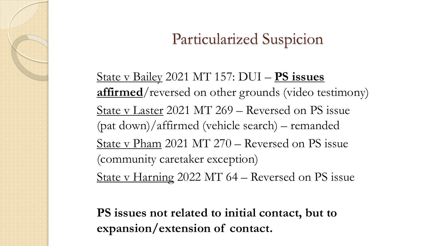State v Bailey 2021 MT 157: DUI – **PS issues affirmed**/reversed on other grounds (video testimony) State v Laster 2021 MT 269 – Reversed on PS issue (pat down)/affirmed (vehicle search) – remanded State v Pham 2021 MT 270 – Reversed on PS issue (community caretaker exception) State v Harning 2022 MT 64 – Reversed on PS issue

**PS issues not related to initial contact, but to expansion/extension of contact.**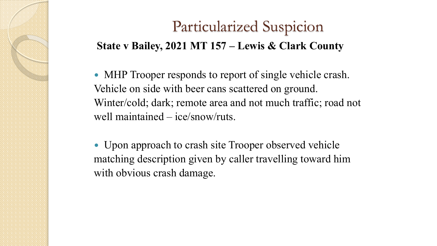### Particularized Suspicion **State v Bailey, 2021 MT 157 – Lewis & Clark County**

• MHP Trooper responds to report of single vehicle crash. Vehicle on side with beer cans scattered on ground. Winter/cold; dark; remote area and not much traffic; road not well maintained – ice/snow/ruts.

 Upon approach to crash site Trooper observed vehicle matching description given by caller travelling toward him with obvious crash damage.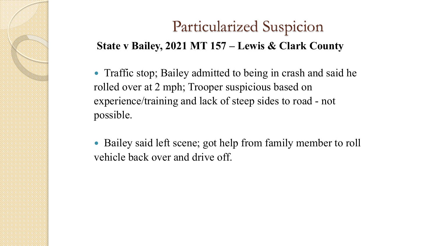### Particularized Suspicion **State v Bailey, 2021 MT 157 – Lewis & Clark County**

• Traffic stop; Bailey admitted to being in crash and said he rolled over at 2 mph; Trooper suspicious based on experience/training and lack of steep sides to road - not possible.

• Bailey said left scene; got help from family member to roll vehicle back over and drive off.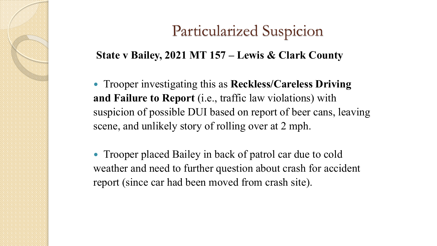#### **State v Bailey, 2021 MT 157 – Lewis & Clark County**

 Trooper investigating this as **Reckless/Careless Driving and Failure to Report** (i.e., traffic law violations) with suspicion of possible DUI based on report of beer cans, leaving scene, and unlikely story of rolling over at 2 mph.

• Trooper placed Bailey in back of patrol car due to cold weather and need to further question about crash for accident report (since car had been moved from crash site).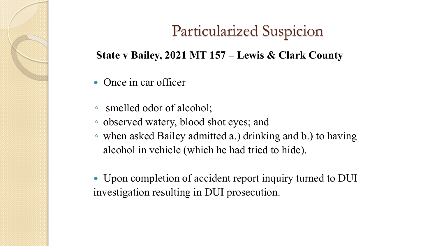#### **State v Bailey, 2021 MT 157 – Lewis & Clark County**

- Once in car officer
- smelled odor of alcohol;
- observed watery, blood shot eyes; and
- when asked Bailey admitted a.) drinking and b.) to having alcohol in vehicle (which he had tried to hide).
- Upon completion of accident report inquiry turned to DUI investigation resulting in DUI prosecution.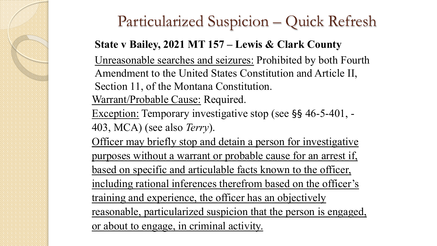### Particularized Suspicion – Quick Refresh

### **State v Bailey, 2021 MT 157 – Lewis & Clark County**

Unreasonable searches and seizures: Prohibited by both Fourth Amendment to the United States Constitution and Article II, Section 11, of the Montana Constitution. Warrant/Probable Cause: Required.

Exception: Temporary investigative stop (see §§ 46-5-401, - 403, MCA) (see also *Terry*).

Officer may briefly stop and detain a person for investigative purposes without a warrant or probable cause for an arrest if, based on specific and articulable facts known to the officer, including rational inferences therefrom based on the officer's training and experience, the officer has an objectively reasonable, particularized suspicion that the person is engaged, or about to engage, in criminal activity.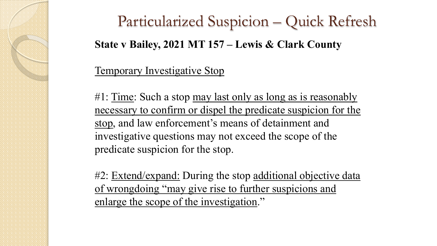Particularized Suspicion – Quick Refresh **State v Bailey, 2021 MT 157 – Lewis & Clark County**

#### Temporary Investigative Stop

#1: Time: Such a stop may last only as long as is reasonably necessary to confirm or dispel the predicate suspicion for the stop, and law enforcement's means of detainment and investigative questions may not exceed the scope of the predicate suspicion for the stop.

#2: Extend/expand: During the stop additional objective data of wrongdoing "may give rise to further suspicions and enlarge the scope of the investigation."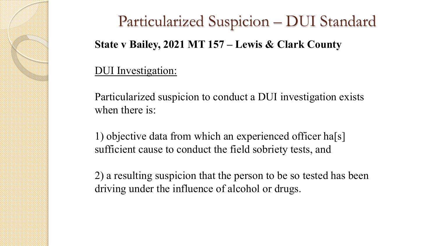Particularized Suspicion – DUI Standard **State v Bailey, 2021 MT 157 – Lewis & Clark County**

#### DUI Investigation:

Particularized suspicion to conduct a DUI investigation exists when there is:

1) objective data from which an experienced officer ha[s] sufficient cause to conduct the field sobriety tests, and

2) a resulting suspicion that the person to be so tested has been driving under the influence of alcohol or drugs.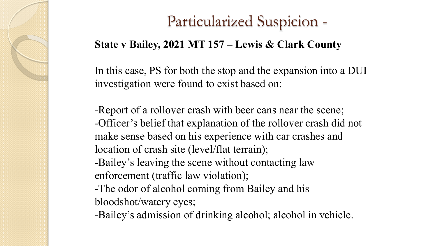### **State v Bailey, 2021 MT 157 – Lewis & Clark County**

In this case, PS for both the stop and the expansion into a DUI investigation were found to exist based on:

-Report of a rollover crash with beer cans near the scene; -Officer's belief that explanation of the rollover crash did not make sense based on his experience with car crashes and location of crash site (level/flat terrain); -Bailey's leaving the scene without contacting law enforcement (traffic law violation); -The odor of alcohol coming from Bailey and his bloodshot/watery eyes;

-Bailey's admission of drinking alcohol; alcohol in vehicle.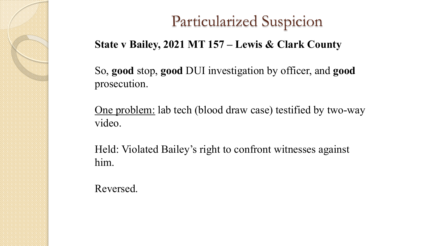#### **State v Bailey, 2021 MT 157 – Lewis & Clark County**

So, **good** stop, **good** DUI investigation by officer, and **good** prosecution.

One problem: lab tech (blood draw case) testified by two-way video.

Held: Violated Bailey's right to confront witnesses against him.

Reversed.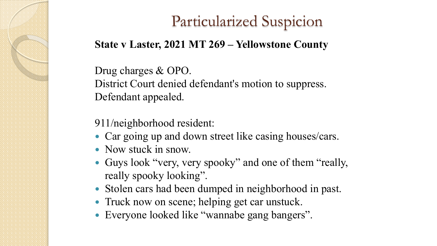#### **State v Laster, 2021 MT 269 – Yellowstone County**

Drug charges & OPO. District Court denied defendant's motion to suppress. Defendant appealed.

911/neighborhood resident:

- Car going up and down street like casing houses/cars.
- Now stuck in snow.
- Guys look "very, very spooky" and one of them "really, really spooky looking".
- Stolen cars had been dumped in neighborhood in past.
- Truck now on scene; helping get car unstuck.
- Everyone looked like "wannabe gang bangers".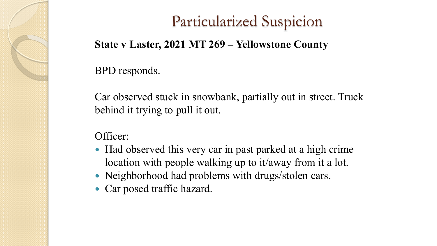#### **State v Laster, 2021 MT 269 – Yellowstone County**

#### BPD responds.

Car observed stuck in snowbank, partially out in street. Truck behind it trying to pull it out.

Officer:

- Had observed this very car in past parked at a high crime location with people walking up to it/away from it a lot.
- Neighborhood had problems with drugs/stolen cars.
- Car posed traffic hazard.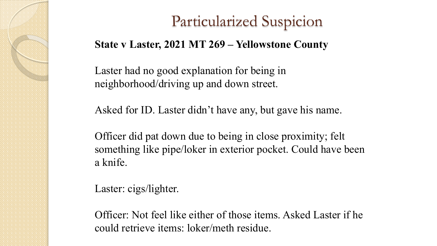#### **State v Laster, 2021 MT 269 – Yellowstone County**

Laster had no good explanation for being in neighborhood/driving up and down street.

Asked for ID. Laster didn't have any, but gave his name.

Officer did pat down due to being in close proximity; felt something like pipe/loker in exterior pocket. Could have been a knife.

Laster: cigs/lighter.

Officer: Not feel like either of those items. Asked Laster if he could retrieve items: loker/meth residue.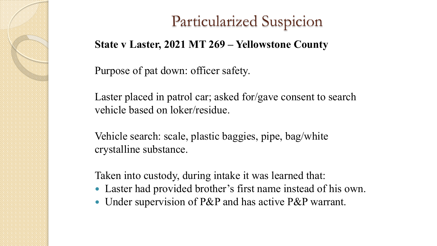#### **State v Laster, 2021 MT 269 – Yellowstone County**

Purpose of pat down: officer safety.

Laster placed in patrol car; asked for/gave consent to search vehicle based on loker/residue.

Vehicle search: scale, plastic baggies, pipe, bag/white crystalline substance.

Taken into custody, during intake it was learned that:

- Laster had provided brother's first name instead of his own.
- Under supervision of P&P and has active P&P warrant.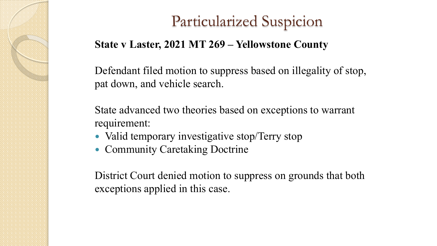#### **State v Laster, 2021 MT 269 – Yellowstone County**

Defendant filed motion to suppress based on illegality of stop, pat down, and vehicle search.

State advanced two theories based on exceptions to warrant requirement:

- Valid temporary investigative stop/Terry stop
- Community Caretaking Doctrine

District Court denied motion to suppress on grounds that both exceptions applied in this case.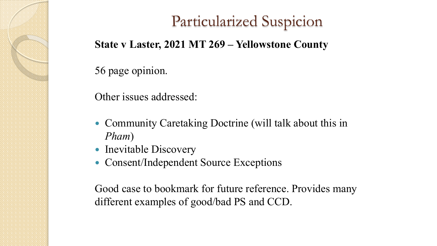#### **State v Laster, 2021 MT 269 – Yellowstone County**

#### 56 page opinion.

Other issues addressed:

- Community Caretaking Doctrine (will talk about this in *Pham*)
- Inevitable Discovery
- Consent/Independent Source Exceptions

Good case to bookmark for future reference. Provides many different examples of good/bad PS and CCD.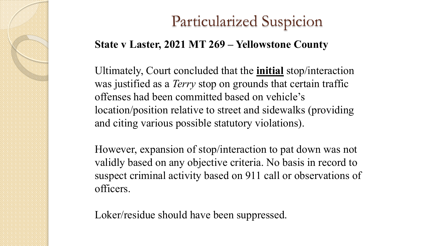#### **State v Laster, 2021 MT 269 – Yellowstone County**

Ultimately, Court concluded that the **initial** stop/interaction was justified as a *Terry* stop on grounds that certain traffic offenses had been committed based on vehicle's location/position relative to street and sidewalks (providing and citing various possible statutory violations).

However, expansion of stop/interaction to pat down was not validly based on any objective criteria. No basis in record to suspect criminal activity based on 911 call or observations of officers.

Loker/residue should have been suppressed.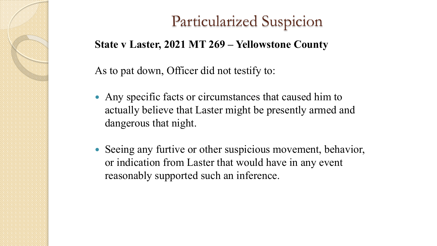#### **State v Laster, 2021 MT 269 – Yellowstone County**

As to pat down, Officer did not testify to:

- Any specific facts or circumstances that caused him to actually believe that Laster might be presently armed and dangerous that night.
- Seeing any furtive or other suspicious movement, behavior, or indication from Laster that would have in any event reasonably supported such an inference.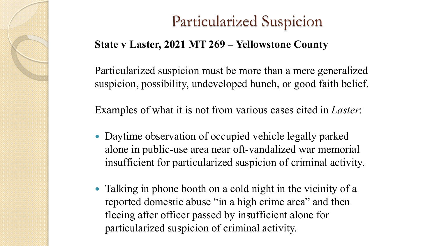#### **State v Laster, 2021 MT 269 – Yellowstone County**

Particularized suspicion must be more than a mere generalized suspicion, possibility, undeveloped hunch, or good faith belief.

Examples of what it is not from various cases cited in *Laster*:

- Daytime observation of occupied vehicle legally parked alone in public-use area near oft-vandalized war memorial insufficient for particularized suspicion of criminal activity.
- Talking in phone booth on a cold night in the vicinity of a reported domestic abuse "in a high crime area" and then fleeing after officer passed by insufficient alone for particularized suspicion of criminal activity.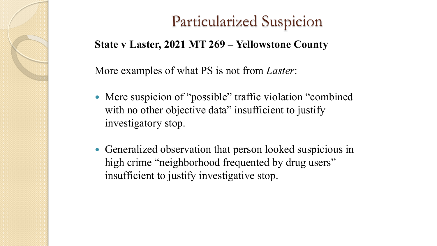#### **State v Laster, 2021 MT 269 – Yellowstone County**

More examples of what PS is not from *Laster*:

- Mere suspicion of "possible" traffic violation "combined with no other objective data" insufficient to justify investigatory stop.
- Generalized observation that person looked suspicious in high crime "neighborhood frequented by drug users" insufficient to justify investigative stop.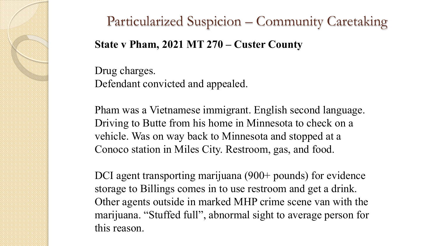### Particularized Suspicion – Community Caretaking

### **State v Pham, 2021 MT 270 – Custer County**

Drug charges. Defendant convicted and appealed.

Pham was a Vietnamese immigrant. English second language. Driving to Butte from his home in Minnesota to check on a vehicle. Was on way back to Minnesota and stopped at a Conoco station in Miles City. Restroom, gas, and food.

DCI agent transporting marijuana (900+ pounds) for evidence storage to Billings comes in to use restroom and get a drink. Other agents outside in marked MHP crime scene van with the marijuana. "Stuffed full", abnormal sight to average person for this reason.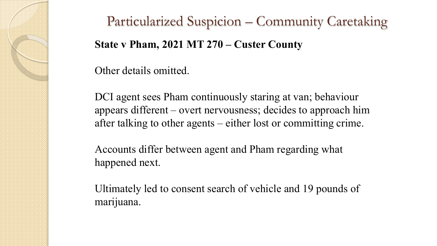# Particularized Suspicion – Community Caretaking **State v Pham, 2021 MT 270 – Custer County**

Other details omitted.

DCI agent sees Pham continuously staring at van; behaviour appears different – overt nervousness; decides to approach him after talking to other agents – either lost or committing crime.

Accounts differ between agent and Pham regarding what happened next.

Ultimately led to consent search of vehicle and 19 pounds of marijuana.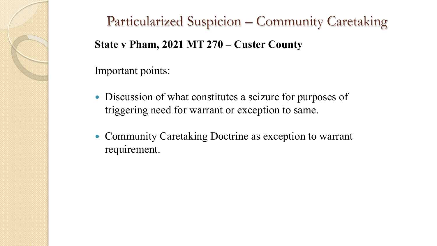Particularized Suspicion – Community Caretaking **State v Pham, 2021 MT 270 – Custer County**

#### Important points:

- Discussion of what constitutes a seizure for purposes of triggering need for warrant or exception to same.
- Community Caretaking Doctrine as exception to warrant requirement.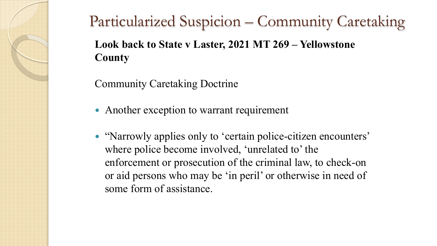Community Caretaking Doctrine

- Another exception to warrant requirement
- "Narrowly applies only to 'certain police-citizen encounters' where police become involved, 'unrelated to' the enforcement or prosecution of the criminal law, to check-on or aid persons who may be 'in peril' or otherwise in need of some form of assistance.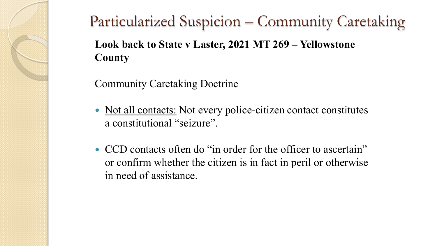Community Caretaking Doctrine

- Not all contacts: Not every police-citizen contact constitutes a constitutional "seizure".
- CCD contacts often do "in order for the officer to ascertain" or confirm whether the citizen is in fact in peril or otherwise in need of assistance.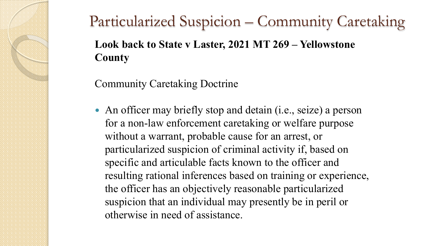Community Caretaking Doctrine

 An officer may briefly stop and detain (i.e., seize) a person for a non-law enforcement caretaking or welfare purpose without a warrant, probable cause for an arrest, or particularized suspicion of criminal activity if, based on specific and articulable facts known to the officer and resulting rational inferences based on training or experience, the officer has an objectively reasonable particularized suspicion that an individual may presently be in peril or otherwise in need of assistance.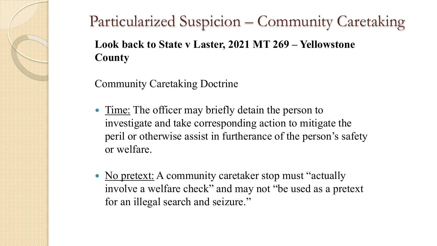Community Caretaking Doctrine

- Time: The officer may briefly detain the person to investigate and take corresponding action to mitigate the peril or otherwise assist in furtherance of the person's safety or welfare.
- No pretext: A community caretaker stop must "actually" involve a welfare check" and may not "be used as a pretext for an illegal search and seizure."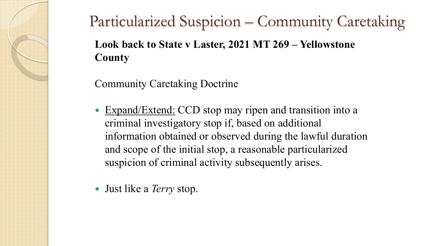Community Caretaking Doctrine

- Expand/Extend: CCD stop may ripen and transition into a criminal investigatory stop if, based on additional information obtained or observed during the lawful duration and scope of the initial stop, a reasonable particularized suspicion of criminal activity subsequently arises.
- Just like a *Terry* stop.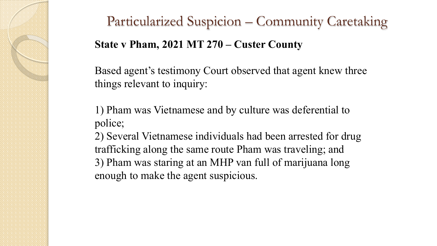# Particularized Suspicion – Community Caretaking **State v Pham, 2021 MT 270 – Custer County**

Based agent's testimony Court observed that agent knew three things relevant to inquiry:

1) Pham was Vietnamese and by culture was deferential to police;

2) Several Vietnamese individuals had been arrested for drug trafficking along the same route Pham was traveling; and 3) Pham was staring at an MHP van full of marijuana long enough to make the agent suspicious.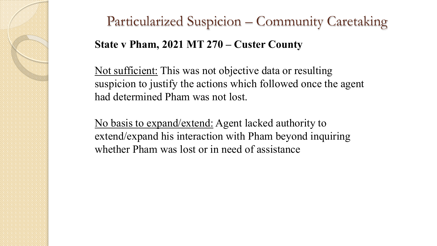# Particularized Suspicion – Community Caretaking **State v Pham, 2021 MT 270 – Custer County**

Not sufficient: This was not objective data or resulting suspicion to justify the actions which followed once the agent had determined Pham was not lost.

No basis to expand/extend: Agent lacked authority to extend/expand his interaction with Pham beyond inquiring whether Pham was lost or in need of assistance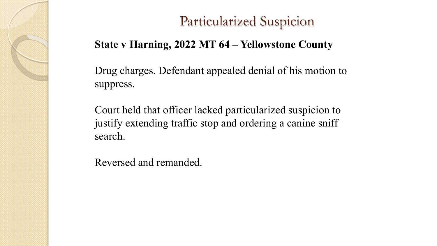#### **State v Harning, 2022 MT 64 – Yellowstone County**

Drug charges. Defendant appealed denial of his motion to suppress.

Court held that officer lacked particularized suspicion to justify extending traffic stop and ordering a canine sniff search.

Reversed and remanded.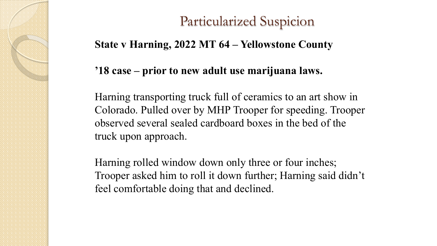#### **State v Harning, 2022 MT 64 – Yellowstone County**

#### **'18 case – prior to new adult use marijuana laws.**

Harning transporting truck full of ceramics to an art show in Colorado. Pulled over by MHP Trooper for speeding. Trooper observed several sealed cardboard boxes in the bed of the truck upon approach.

Harning rolled window down only three or four inches; Trooper asked him to roll it down further; Harning said didn't feel comfortable doing that and declined.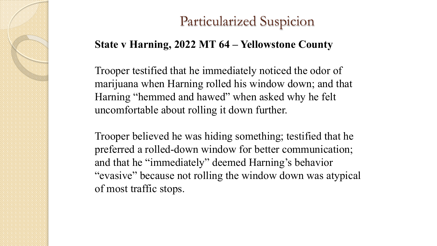#### **State v Harning, 2022 MT 64 – Yellowstone County**

Trooper testified that he immediately noticed the odor of marijuana when Harning rolled his window down; and that Harning "hemmed and hawed" when asked why he felt uncomfortable about rolling it down further.

Trooper believed he was hiding something; testified that he preferred a rolled-down window for better communication; and that he "immediately" deemed Harning's behavior "evasive" because not rolling the window down was atypical of most traffic stops.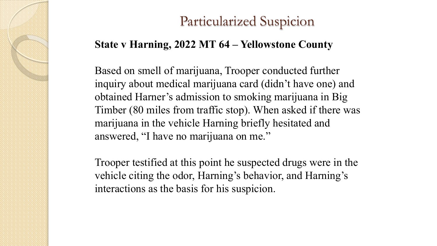#### **State v Harning, 2022 MT 64 – Yellowstone County**

Based on smell of marijuana, Trooper conducted further inquiry about medical marijuana card (didn't have one) and obtained Harner's admission to smoking marijuana in Big Timber (80 miles from traffic stop). When asked if there was marijuana in the vehicle Harning briefly hesitated and answered, "I have no marijuana on me."

Trooper testified at this point he suspected drugs were in the vehicle citing the odor, Harning's behavior, and Harning's interactions as the basis for his suspicion.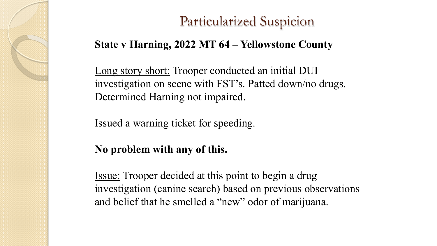#### **State v Harning, 2022 MT 64 – Yellowstone County**

Long story short: Trooper conducted an initial DUI investigation on scene with FST's. Patted down/no drugs. Determined Harning not impaired.

Issued a warning ticket for speeding.

### **No problem with any of this.**

Issue: Trooper decided at this point to begin a drug investigation (canine search) based on previous observations and belief that he smelled a "new" odor of marijuana.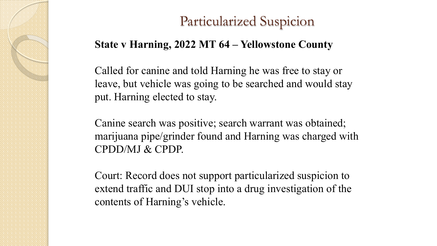#### **State v Harning, 2022 MT 64 – Yellowstone County**

Called for canine and told Harning he was free to stay or leave, but vehicle was going to be searched and would stay put. Harning elected to stay.

Canine search was positive; search warrant was obtained; marijuana pipe/grinder found and Harning was charged with CPDD/MJ & CPDP.

Court: Record does not support particularized suspicion to extend traffic and DUI stop into a drug investigation of the contents of Harning's vehicle.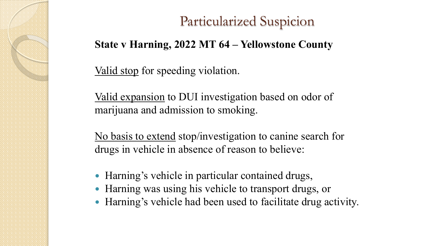#### **State v Harning, 2022 MT 64 – Yellowstone County**

Valid stop for speeding violation.

Valid expansion to DUI investigation based on odor of marijuana and admission to smoking.

No basis to extend stop/investigation to canine search for drugs in vehicle in absence of reason to believe:

- Harning's vehicle in particular contained drugs,
- Harning was using his vehicle to transport drugs, or
- Harning's vehicle had been used to facilitate drug activity.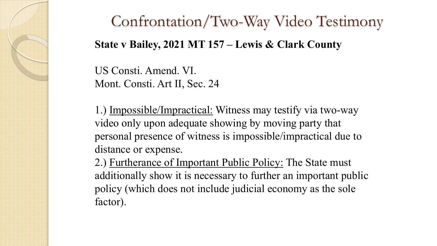# Confrontation/Two-Way Video Testimony **State v Bailey, 2021 MT 157 – Lewis & Clark County**

US Consti. Amend. VI. Mont. Consti. Art II, Sec. 24

1.) Impossible/Impractical: Witness may testify via two-way video only upon adequate showing by moving party that personal presence of witness is impossible/impractical due to distance or expense.

2.) Furtherance of Important Public Policy: The State must additionally show it is necessary to further an important public policy (which does not include judicial economy as the sole factor).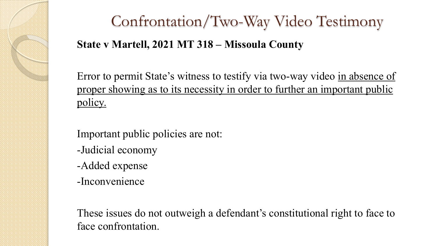

# Confrontation/Two-Way Video Testimony **State v Martell, 2021 MT 318 – Missoula County**

Error to permit State's witness to testify via two-way video in absence of proper showing as to its necessity in order to further an important public policy.

Important public policies are not:

- -Judicial economy
- -Added expense
- -Inconvenience

These issues do not outweigh a defendant's constitutional right to face to face confrontation.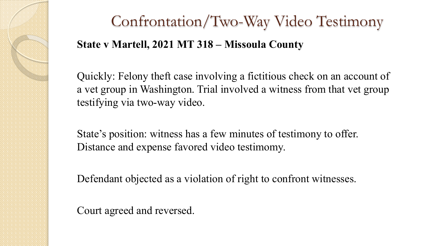

# Confrontation/Two-Way Video Testimony **State v Martell, 2021 MT 318 – Missoula County**

Quickly: Felony theft case involving a fictitious check on an account of a vet group in Washington. Trial involved a witness from that vet group testifying via two-way video.

State's position: witness has a few minutes of testimony to offer. Distance and expense favored video testimomy.

Defendant objected as a violation of right to confront witnesses.

Court agreed and reversed.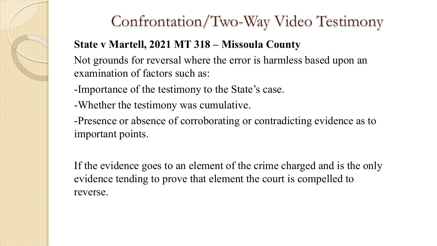### Confrontation/Two-Way Video Testimony

#### **State v Martell, 2021 MT 318 – Missoula County**

Not grounds for reversal where the error is harmless based upon an examination of factors such as:

- -Importance of the testimony to the State's case.
- -Whether the testimony was cumulative.

-Presence or absence of corroborating or contradicting evidence as to important points.

If the evidence goes to an element of the crime charged and is the only evidence tending to prove that element the court is compelled to reverse.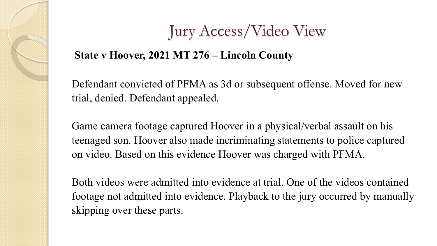# Jury Access/Video View

#### **State v Hoover, 2021 MT 276 – Lincoln County**

Defendant convicted of PFMA as 3d or subsequent offense. Moved for new trial, denied. Defendant appealed.

Game camera footage captured Hoover in a physical/verbal assault on his teenaged son. Hoover also made incriminating statements to police captured on video. Based on this evidence Hoover was charged with PFMA.

Both videos were admitted into evidence at trial. One of the videos contained footage not admitted into evidence. Playback to the jury occurred by manually skipping over these parts.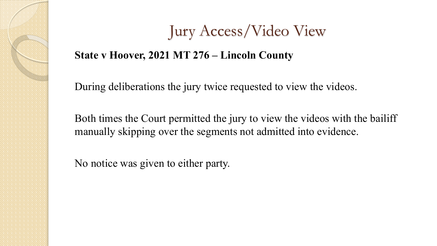### Jury Access/Video View

#### **State v Hoover, 2021 MT 276 – Lincoln County**

During deliberations the jury twice requested to view the videos.

Both times the Court permitted the jury to view the videos with the bailiff manually skipping over the segments not admitted into evidence.

No notice was given to either party.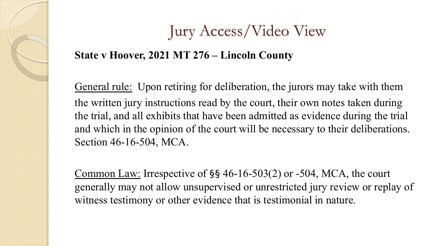# Jury Access/Video View

#### **State v Hoover, 2021 MT 276 – Lincoln County**

General rule: Upon retiring for deliberation, the jurors may take with them the written jury instructions read by the court, their own notes taken during the trial, and all exhibits that have been admitted as evidence during the trial and which in the opinion of the court will be necessary to their deliberations. Section 46-16-504, MCA.

Common Law: Irrespective of §§ 46-16-503(2) or -504, MCA, the court generally may not allow unsupervised or unrestricted jury review or replay of witness testimony or other evidence that is testimonial in nature.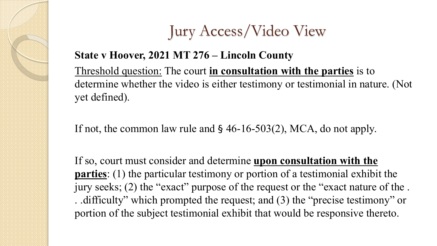

#### **State v Hoover, 2021 MT 276 – Lincoln County**

Threshold question: The court **in consultation with the parties** is to determine whether the video is either testimony or testimonial in nature. (Not yet defined).

If not, the common law rule and § 46-16-503(2), MCA, do not apply.

If so, court must consider and determine **upon consultation with the parties**: (1) the particular testimony or portion of a testimonial exhibit the jury seeks; (2) the "exact" purpose of the request or the "exact nature of the . . .difficulty" which prompted the request; and (3) the "precise testimony" or portion of the subject testimonial exhibit that would be responsive thereto.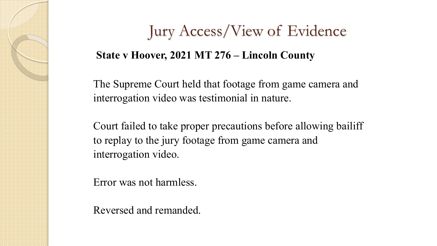### Jury Access/View of Evidence

#### **State v Hoover, 2021 MT 276 – Lincoln County**

The Supreme Court held that footage from game camera and interrogation video was testimonial in nature.

Court failed to take proper precautions before allowing bailiff to replay to the jury footage from game camera and interrogation video.

Error was not harmless.

Reversed and remanded.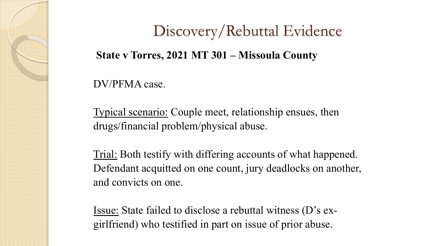### Discovery/Rebuttal Evidence

#### **State v Torres, 2021 MT 301 – Missoula County**

DV/PFMA case.

Typical scenario: Couple meet, relationship ensues, then drugs/financial problem/physical abuse.

Trial: Both testify with differing accounts of what happened. Defendant acquitted on one count, jury deadlocks on another, and convicts on one.

Issue: State failed to disclose a rebuttal witness (D's exgirlfriend) who testified in part on issue of prior abuse.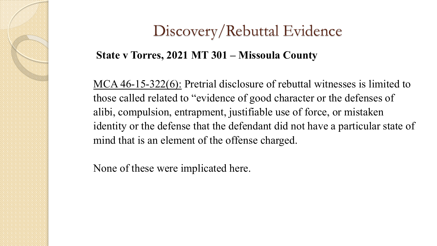### Discovery/Rebuttal Evidence

#### **State v Torres, 2021 MT 301 – Missoula County**

MCA 46-15-322(6): Pretrial disclosure of rebuttal witnesses is limited to those called related to "evidence of good character or the defenses of alibi, compulsion, entrapment, justifiable use of force, or mistaken identity or the defense that the defendant did not have a particular state of mind that is an element of the offense charged.

None of these were implicated here.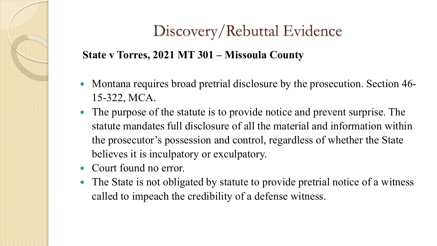### Discovery/Rebuttal Evidence

#### **State v Torres, 2021 MT 301 – Missoula County**

- Montana requires broad pretrial disclosure by the prosecution. Section 46- 15-322, MCA.
- The purpose of the statute is to provide notice and prevent surprise. The statute mandates full disclosure of all the material and information within the prosecutor's possession and control, regardless of whether the State believes it is inculpatory or exculpatory.
- Court found no error.
- The State is not obligated by statute to provide pretrial notice of a witness called to impeach the credibility of a defense witness.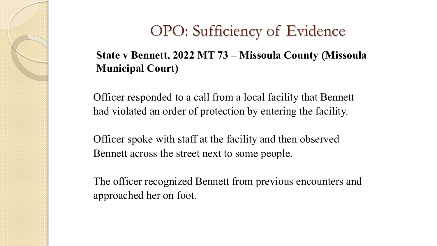#### **State v Bennett, 2022 MT 73 – Missoula County (Missoula Municipal Court)**

Officer responded to a call from a local facility that Bennett had violated an order of protection by entering the facility.

Officer spoke with staff at the facility and then observed Bennett across the street next to some people.

The officer recognized Bennett from previous encounters and approached her on foot.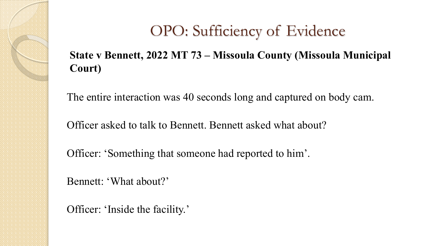#### **State v Bennett, 2022 MT 73 – Missoula County (Missoula Municipal Court)**

The entire interaction was 40 seconds long and captured on body cam.

Officer asked to talk to Bennett. Bennett asked what about?

Officer: 'Something that someone had reported to him'.

Bennett: 'What about?'

Officer: 'Inside the facility.'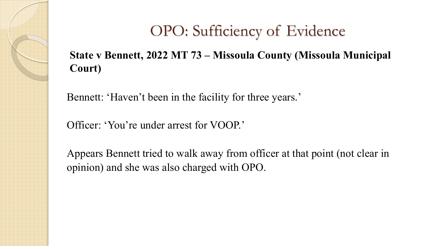#### **State v Bennett, 2022 MT 73 – Missoula County (Missoula Municipal Court)**

Bennett: 'Haven't been in the facility for three years.'

Officer: 'You're under arrest for VOOP.'

Appears Bennett tried to walk away from officer at that point (not clear in opinion) and she was also charged with OPO.